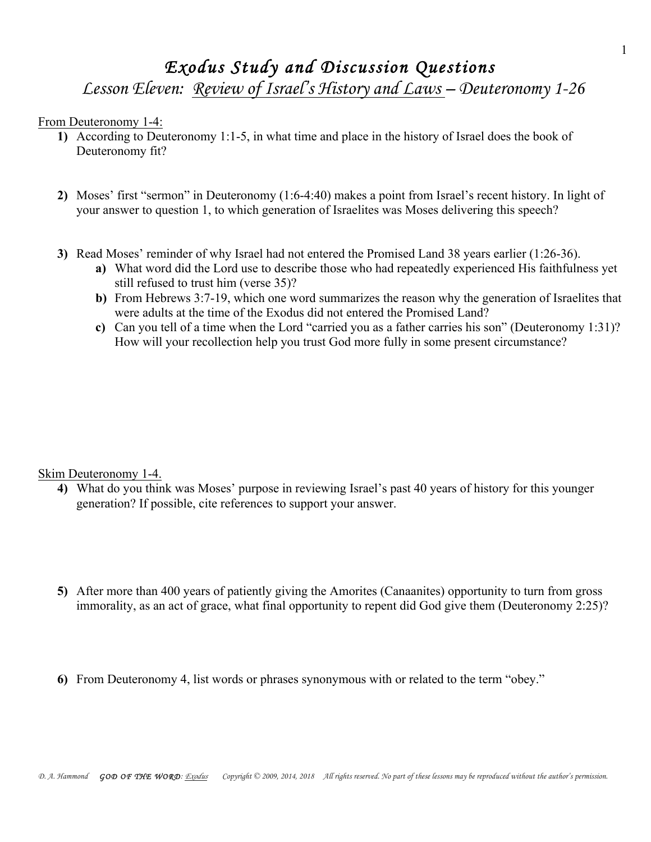## *Exodus Study and Discussion Questions*

*Lesson Eleven: Review of Israel's History and Laws – Deuteronomy 1-26*

From Deuteronomy 1-4:

- **1)** According to Deuteronomy 1:1-5, in what time and place in the history of Israel does the book of Deuteronomy fit?
- **2)** Moses' first "sermon" in Deuteronomy (1:6-4:40) makes a point from Israel's recent history. In light of your answer to question 1, to which generation of Israelites was Moses delivering this speech?
- **3)** Read Moses' reminder of why Israel had not entered the Promised Land 38 years earlier (1:26-36).
	- **a)** What word did the Lord use to describe those who had repeatedly experienced His faithfulness yet still refused to trust him (verse 35)?
	- **b)** From Hebrews 3:7-19, which one word summarizes the reason why the generation of Israelites that were adults at the time of the Exodus did not entered the Promised Land?
	- **c)** Can you tell of a time when the Lord "carried you as a father carries his son" (Deuteronomy 1:31)? How will your recollection help you trust God more fully in some present circumstance?

Skim Deuteronomy 1-4.

- **4)** What do you think was Moses' purpose in reviewing Israel's past 40 years of history for this younger generation? If possible, cite references to support your answer.
- **5)** After more than 400 years of patiently giving the Amorites (Canaanites) opportunity to turn from gross immorality, as an act of grace, what final opportunity to repent did God give them (Deuteronomy 2:25)?
- **6)** From Deuteronomy 4, list words or phrases synonymous with or related to the term "obey."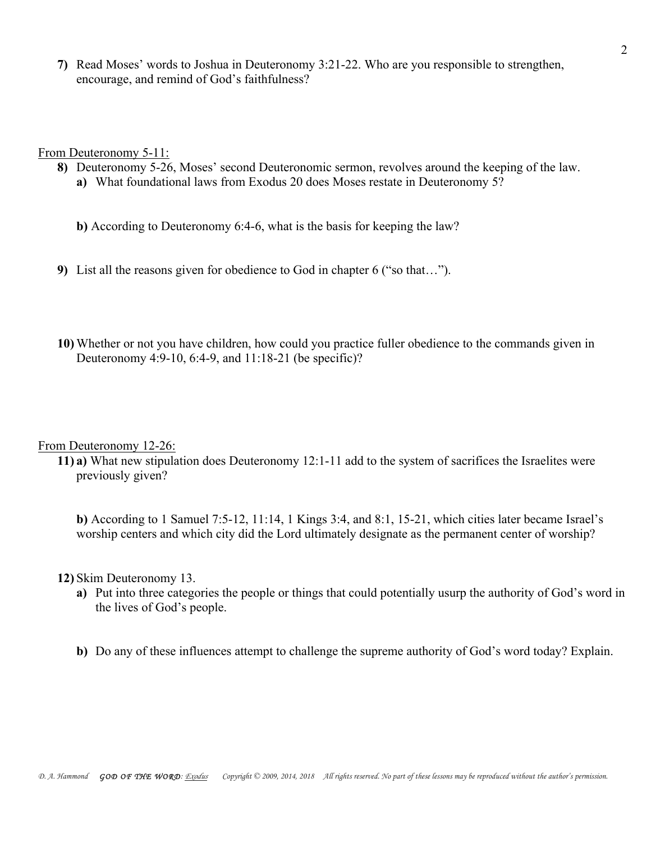**7)** Read Moses' words to Joshua in Deuteronomy 3:21-22. Who are you responsible to strengthen, encourage, and remind of God's faithfulness?

From Deuteronomy 5-11:

- **8)** Deuteronomy 5-26, Moses' second Deuteronomic sermon, revolves around the keeping of the law.
	- **a)** What foundational laws from Exodus 20 does Moses restate in Deuteronomy 5?

**b)** According to Deuteronomy 6:4-6, what is the basis for keeping the law?

- **9)** List all the reasons given for obedience to God in chapter 6 ("so that…").
- **10)** Whether or not you have children, how could you practice fuller obedience to the commands given in Deuteronomy 4:9-10, 6:4-9, and 11:18-21 (be specific)?

From Deuteronomy 12-26:

**11) a)** What new stipulation does Deuteronomy 12:1-11 add to the system of sacrifices the Israelites were previously given?

**b)** According to 1 Samuel 7:5-12, 11:14, 1 Kings 3:4, and 8:1, 15-21, which cities later became Israel's worship centers and which city did the Lord ultimately designate as the permanent center of worship?

**12)** Skim Deuteronomy 13.

- **a)** Put into three categories the people or things that could potentially usurp the authority of God's word in the lives of God's people.
- **b)** Do any of these influences attempt to challenge the supreme authority of God's word today? Explain.